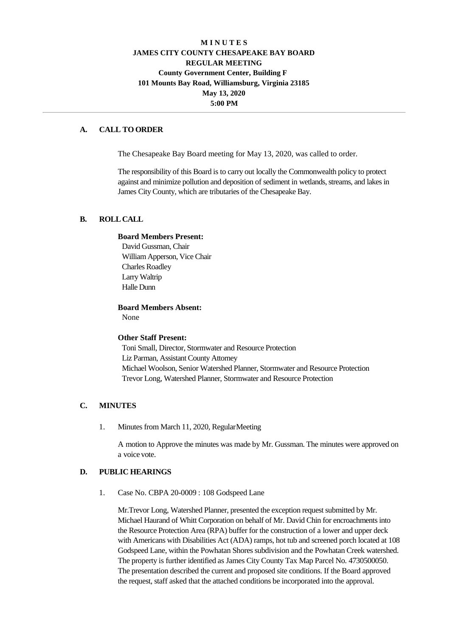## **M I N U T E S JAMES CITY COUNTY CHESAPEAKE BAY BOARD REGULAR MEETING County Government Center, Building F 101 Mounts Bay Road, Williamsburg, Virginia 23185 May 13, 2020 5:00 PM**

## **A. CALL TO ORDER**

The Chesapeake Bay Board meeting for May 13, 2020, was called to order.

The responsibility of this Board is to carry out locally the Commonwealth policy to protect against and minimize pollution and deposition of sediment in wetlands, streams, and lakes in James City County, which are tributaries of the Chesapeake Bay.

### **B. ROLLCALL**

### **Board Members Present:**

David Gussman, Chair William Apperson, Vice Chair Charles Roadley Larry Waltrip Halle Dunn

**Board Members Absent:**

None

#### **Other Staff Present:**

Toni Small, Director, Stormwater and Resource Protection Liz Parman, Assistant County Attorney Michael Woolson, Senior Watershed Planner, Stormwater and Resource Protection Trevor Long, Watershed Planner, Stormwater and Resource Protection

#### **C. MINUTES**

1. Minutes from March 11, 2020, RegularMeeting

A motion to Approve the minutes was made by Mr. Gussman. The minutes were approved on a voice vote.

#### **D. PUBLIC HEARINGS**

1. Case No. CBPA 20-0009 : 108 Godspeed Lane

Mr.Trevor Long, Watershed Planner, presented the exception request submitted by Mr. Michael Haurand of Whitt Corporation on behalf of Mr. David Chin for encroachments into the Resource Protection Area (RPA) buffer for the construction of a lower and upper deck with Americans with Disabilities Act (ADA) ramps, hot tub and screened porch located at 108 Godspeed Lane, within the Powhatan Shores subdivision and the Powhatan Creek watershed. The property is further identified as James City County Tax Map Parcel No. 4730500050. The presentation described the current and proposed site conditions. If the Board approved the request, staff asked that the attached conditions be incorporated into the approval.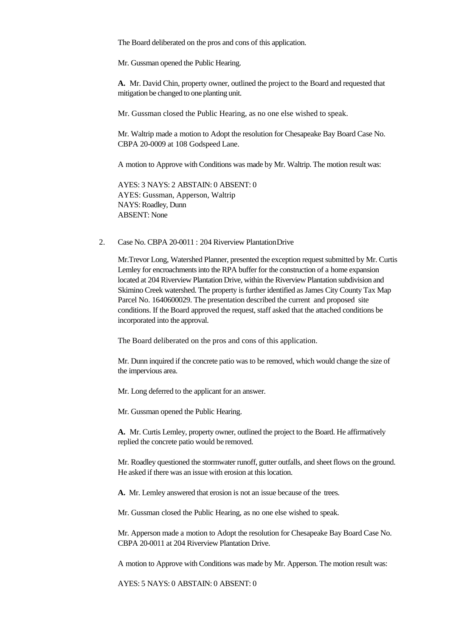The Board deliberated on the pros and cons of this application.

Mr. Gussman opened the Public Hearing.

**A.** Mr. David Chin, property owner, outlined the project to the Board and requested that mitigation be changed to one planting unit.

Mr. Gussman closed the Public Hearing, as no one else wished to speak.

Mr. Waltrip made a motion to Adopt the resolution for Chesapeake Bay Board Case No. CBPA 20-0009 at 108 Godspeed Lane.

A motion to Approve with Conditions was made by Mr. Waltrip. The motion result was:

AYES: 3 NAYS: 2 ABSTAIN: 0 ABSENT: 0 AYES: Gussman, Apperson, Waltrip NAYS: Roadley, Dunn ABSENT: None

2. Case No. CBPA 20-0011 : 204 Riverview PlantationDrive

Mr.Trevor Long, Watershed Planner, presented the exception request submitted by Mr. Curtis Lemley for encroachments into the RPA buffer for the construction of a home expansion located at 204 Riverview Plantation Drive, within the Riverview Plantation subdivision and Skimino Creek watershed. The property is further identified as James City County Tax Map Parcel No. 1640600029. The presentation described the current and proposed site conditions. If the Board approved the request, staff asked that the attached conditions be incorporated into the approval.

The Board deliberated on the pros and cons of this application.

Mr. Dunn inquired if the concrete patio was to be removed, which would change the size of the impervious area.

Mr. Long deferred to the applicant for an answer.

Mr. Gussman opened the Public Hearing.

**A.** Mr. Curtis Lemley, property owner, outlined the project to the Board. He affirmatively replied the concrete patio would be removed.

Mr. Roadley questioned the stormwater runoff, gutter outfalls, and sheet flows on the ground. He asked if there was an issue with erosion at thislocation.

**A.** Mr. Lemley answered that erosion is not an issue because of the trees.

Mr. Gussman closed the Public Hearing, as no one else wished to speak.

Mr. Apperson made a motion to Adopt the resolution for Chesapeake Bay Board Case No. CBPA 20-0011 at 204 Riverview Plantation Drive.

A motion to Approve with Conditions was made by Mr. Apperson. The motion result was:

AYES: 5 NAYS: 0 ABSTAIN: 0 ABSENT: 0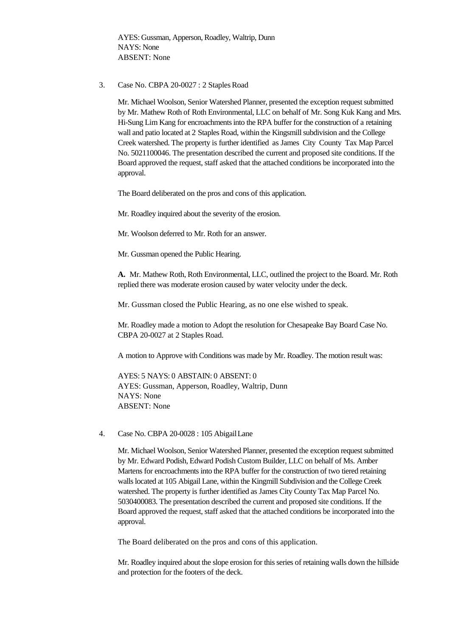AYES: Gussman, Apperson, Roadley, Waltrip, Dunn NAYS: None ABSENT: None

3. Case No. CBPA 20-0027 : 2 StaplesRoad

Mr. Michael Woolson, Senior Watershed Planner, presented the exception request submitted by Mr. Mathew Roth of Roth Environmental, LLC on behalf of Mr. Song Kuk Kang and Mrs. Hi-Sung Lim Kang for encroachments into the RPA buffer for the construction of a retaining wall and patio located at 2 Staples Road, within the Kingsmill subdivision and the College Creek watershed. The property is further identified as James City County Tax Map Parcel No. 5021100046. The presentation described the current and proposed site conditions. If the Board approved the request, staff asked that the attached conditions be incorporated into the approval.

The Board deliberated on the pros and cons of this application.

Mr. Roadley inquired about the severity of the erosion.

Mr. Woolson deferred to Mr. Roth for an answer.

Mr. Gussman opened the Public Hearing.

**A.** Mr. Mathew Roth, Roth Environmental, LLC, outlined the project to the Board. Mr. Roth replied there was moderate erosion caused by water velocity under the deck.

Mr. Gussman closed the Public Hearing, as no one else wished to speak.

Mr. Roadley made a motion to Adopt the resolution for Chesapeake Bay Board Case No. CBPA 20-0027 at 2 Staples Road.

A motion to Approve with Conditions was made by Mr. Roadley. The motion result was:

AYES: 5 NAYS: 0 ABSTAIN: 0 ABSENT: 0 AYES: Gussman, Apperson, Roadley, Waltrip, Dunn NAYS: None ABSENT: None

4. Case No. CBPA 20-0028 : 105 AbigailLane

Mr. Michael Woolson, Senior Watershed Planner, presented the exception request submitted by Mr. Edward Podish, Edward Podish Custom Builder, LLC on behalf of Ms. Amber Martens for encroachments into the RPA buffer for the construction of two tiered retaining walls located at 105 Abigail Lane, within the Kingmill Subdivision and the College Creek watershed. The property is further identified as James City County Tax Map Parcel No. 5030400083. The presentation described the current and proposed site conditions. If the Board approved the request, staff asked that the attached conditions be incorporated into the approval.

The Board deliberated on the pros and cons of this application.

Mr. Roadley inquired about the slope erosion for this series of retaining walls down the hillside and protection for the footers of the deck.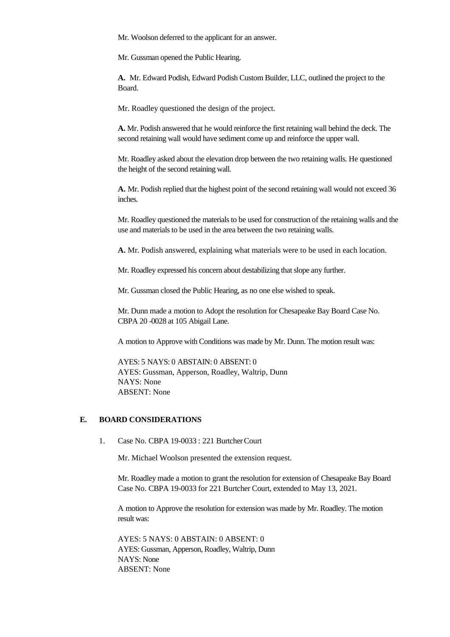Mr. Woolson deferred to the applicant for an answer.

Mr. Gussman opened the Public Hearing.

**A.** Mr. Edward Podish, Edward Podish Custom Builder, LLC, outlined the project to the Board.

Mr. Roadley questioned the design of the project.

**A.** Mr. Podish answered that he would reinforce the first retaining wall behind the deck. The second retaining wall would have sediment come up and reinforce the upper wall.

Mr. Roadley asked about the elevation drop between the two retaining walls. He questioned the height of the second retaining wall.

**A.** Mr. Podish replied that the highest point of the second retaining wall would not exceed 36 inches.

Mr. Roadley questioned the materials to be used for construction of the retaining walls and the use and materials to be used in the area between the two retaining walls.

**A.** Mr. Podish answered, explaining what materials were to be used in each location.

Mr. Roadley expressed his concern about destabilizing that slope any further.

Mr. Gussman closed the Public Hearing, as no one else wished to speak.

Mr. Dunn made a motion to Adopt the resolution for Chesapeake Bay Board Case No. CBPA 20 -0028 at 105 Abigail Lane.

A motion to Approve with Conditions was made by Mr. Dunn. The motion result was:

AYES: 5 NAYS: 0 ABSTAIN: 0 ABSENT: 0 AYES: Gussman, Apperson, Roadley, Waltrip, Dunn NAYS: None ABSENT: None

# **E. BOARD CONSIDERATIONS**

1. Case No. CBPA 19-0033 : 221 BurtcherCourt

Mr. Michael Woolson presented the extension request.

Mr. Roadley made a motion to grant the resolution for extension of Chesapeake Bay Board Case No. CBPA 19-0033 for 221 Burtcher Court, extended to May 13, 2021.

A motion to Approve the resolution for extension was made by Mr. Roadley. The motion result was:

AYES: 5 NAYS: 0 ABSTAIN: 0 ABSENT: 0 AYES: Gussman, Apperson, Roadley, Waltrip, Dunn NAYS: None ABSENT: None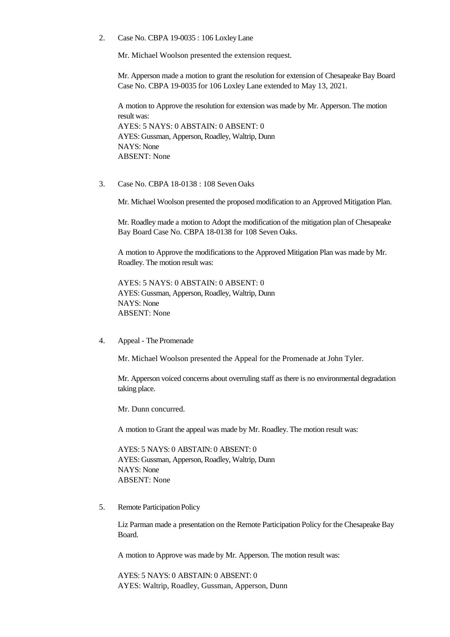2. Case No. CBPA 19-0035 : 106 LoxleyLane

Mr. Michael Woolson presented the extension request.

Mr. Apperson made a motion to grant the resolution for extension of Chesapeake Bay Board Case No. CBPA 19-0035 for 106 Loxley Lane extended to May 13, 2021.

A motion to Approve the resolution for extension was made by Mr. Apperson. The motion result was: AYES: 5 NAYS: 0 ABSTAIN: 0 ABSENT: 0 AYES: Gussman, Apperson, Roadley, Waltrip, Dunn NAYS: None ABSENT: None

3. Case No. CBPA 18-0138 : 108 Seven Oaks

Mr. Michael Woolson presented the proposed modification to an Approved Mitigation Plan.

Mr. Roadley made a motion to Adopt the modification of the mitigation plan of Chesapeake Bay Board Case No. CBPA 18-0138 for 108 Seven Oaks.

A motion to Approve the modifications to the Approved Mitigation Plan was made by Mr. Roadley. The motion result was:

AYES: 5 NAYS: 0 ABSTAIN: 0 ABSENT: 0 AYES: Gussman, Apperson, Roadley, Waltrip, Dunn NAYS: None ABSENT: None

4. Appeal - The Promenade

Mr. Michael Woolson presented the Appeal for the Promenade at John Tyler.

Mr. Apperson voiced concerns about overruling staff as there is no environmental degradation taking place.

Mr. Dunn concurred.

A motion to Grant the appeal was made by Mr. Roadley. The motion result was:

AYES: 5 NAYS: 0 ABSTAIN: 0 ABSENT: 0 AYES: Gussman, Apperson, Roadley, Waltrip, Dunn NAYS: None ABSENT: None

5. Remote Participation Policy

Liz Parman made a presentation on the Remote Participation Policy for the Chesapeake Bay Board.

A motion to Approve was made by Mr. Apperson. The motion result was:

AYES: 5 NAYS: 0 ABSTAIN: 0 ABSENT: 0 AYES: Waltrip, Roadley, Gussman, Apperson, Dunn